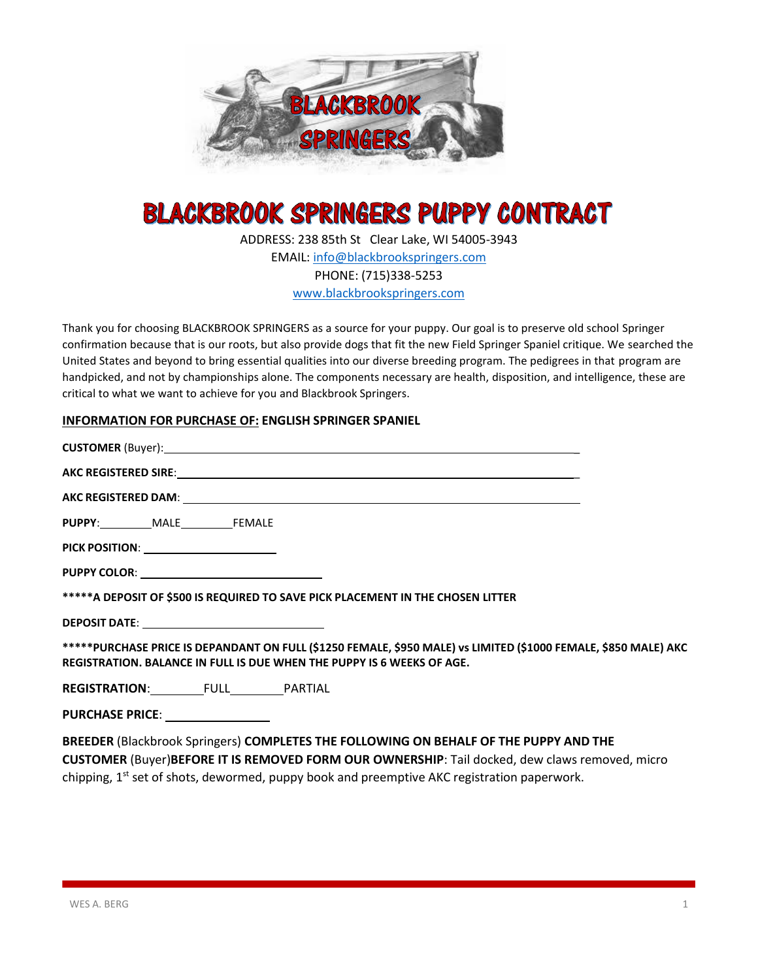

# **BLACKBROOK SPRINGERS PUPPY CONTRACT**

ADDRESS: 238 85th St Clear Lake, WI 54005-3943 EMAIL: [info@blackbrookspringers.com](mailto:info@blackbrookspringers.com) PHONE: (715)338-5253 [www.blackbrookspringers.com](http://www.blackbrookspringers.com/)

Thank you for choosing BLACKBROOK SPRINGERS as a source for your puppy. Our goal is to preserve old school Springer confirmation because that is our roots, but also provide dogs that fit the new Field Springer Spaniel critique. We searched the United States and beyond to bring essential qualities into our diverse breeding program. The pedigrees in that program are handpicked, and not by championships alone. The components necessary are health, disposition, and intelligence, these are critical to what we want to achieve for you and Blackbrook Springers.

#### **INFORMATION FOR PURCHASE OF: ENGLISH SPRINGER SPANIEL**

| CUSTOMER (Buyer): 1999 CONTRACTED AND THE CONTRACTED AND THE CONTRACTED AND THE CONTRACTED AND THE CONTRACTED AND THE CONTRACTED AND THE CONTRACTED AND THE CONTRACTED AND THE CONTRACTED AND THE CONTRACTED AND THE CONTRACTE |
|--------------------------------------------------------------------------------------------------------------------------------------------------------------------------------------------------------------------------------|
|                                                                                                                                                                                                                                |
|                                                                                                                                                                                                                                |
| PUPPY: MALE FEMALE                                                                                                                                                                                                             |
| PICK POSITION: ________________________                                                                                                                                                                                        |
|                                                                                                                                                                                                                                |
| ***** A DEPOSIT OF \$500 IS REQUIRED TO SAVE PICK PLACEMENT IN THE CHOSEN LITTER                                                                                                                                               |
| DEPOSIT DATE: __________________________________                                                                                                                                                                               |
| *****PURCHASE PRICE IS DEPANDANT ON FULL (\$1250 FEMALE, \$950 MALE) vs LIMITED (\$1000 FEMALE, \$850 MALE) AKC<br>REGISTRATION. BALANCE IN FULL IS DUE WHEN THE PUPPY IS 6 WEEKS OF AGE.                                      |
| REGISTRATION: FULL PARTIAL                                                                                                                                                                                                     |
| PURCHASE PRICE: _______________                                                                                                                                                                                                |
| BREEDER (Blackbrook Springers) COMPLETES THE FOLLOWING ON BEHALF OF THE PUPPY AND THE<br>CUCTORAED (Durante FORE IT IS BERAQUED FORM OUR OWNERSUR). Tail dealer days above accessed actions                                    |

**CUSTOMER** (Buyer)**BEFORE IT IS REMOVED FORM OUR OWNERSHIP**: Tail docked, dew claws removed, micro chipping, 1<sup>st</sup> set of shots, dewormed, puppy book and preemptive AKC registration paperwork.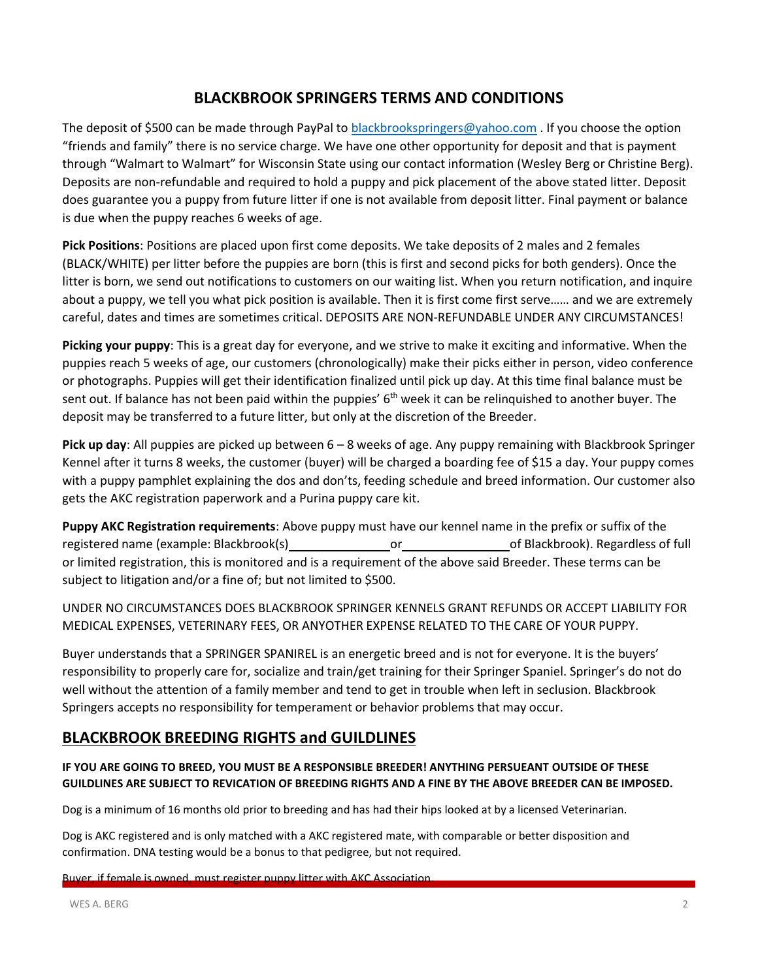### **BLACKBROOK SPRINGERS TERMS AND CONDITIONS**

The deposit of \$500 can be made through PayPal to **blackbrookspringers@yahoo.com** . If you choose the option "friends and family" there is no service charge. We have one other opportunity for deposit and that is payment through "Walmart to Walmart" for Wisconsin State using our contact information (Wesley Berg or Christine Berg). Deposits are non-refundable and required to hold a puppy and pick placement of the above stated litter. Deposit does guarantee you a puppy from future litter if one is not available from deposit litter. Final payment or balance is due when the puppy reaches 6 weeks of age.

**Pick Positions**: Positions are placed upon first come deposits. We take deposits of 2 males and 2 females (BLACK/WHITE) per litter before the puppies are born (this is first and second picks for both genders). Once the litter is born, we send out notifications to customers on our waiting list. When you return notification, and inquire about a puppy, we tell you what pick position is available. Then it is first come first serve…… and we are extremely careful, dates and times are sometimes critical. DEPOSITS ARE NON-REFUNDABLE UNDER ANY CIRCUMSTANCES!

**Picking your puppy**: This is a great day for everyone, and we strive to make it exciting and informative. When the puppies reach 5 weeks of age, our customers (chronologically) make their picks either in person, video conference or photographs. Puppies will get their identification finalized until pick up day. At this time final balance must be sent out. If balance has not been paid within the puppies' 6<sup>th</sup> week it can be relinquished to another buyer. The deposit may be transferred to a future litter, but only at the discretion of the Breeder.

**Pick up day**: All puppies are picked up between 6 – 8 weeks of age. Any puppy remaining with Blackbrook Springer Kennel after it turns 8 weeks, the customer (buyer) will be charged a boarding fee of \$15 a day. Your puppy comes with a puppy pamphlet explaining the dos and don'ts, feeding schedule and breed information. Our customer also gets the AKC registration paperwork and a Purina puppy care kit.

**Puppy AKC Registration requirements**: Above puppy must have our kennel name in the prefix or suffix of the registered name (example: Blackbrook(s) or or of Blackbrook). Regardless of full or limited registration, this is monitored and is a requirement of the above said Breeder. These terms can be subject to litigation and/or a fine of; but not limited to \$500.

UNDER NO CIRCUMSTANCES DOES BLACKBROOK SPRINGER KENNELS GRANT REFUNDS OR ACCEPT LIABILITY FOR MEDICAL EXPENSES, VETERINARY FEES, OR ANYOTHER EXPENSE RELATED TO THE CARE OF YOUR PUPPY.

Buyer understands that a SPRINGER SPANIREL is an energetic breed and is not for everyone. It is the buyers' responsibility to properly care for, socialize and train/get training for their Springer Spaniel. Springer's do not do well without the attention of a family member and tend to get in trouble when left in seclusion. Blackbrook Springers accepts no responsibility for temperament or behavior problems that may occur.

# **BLACKBROOK BREEDING RIGHTS and GUILDLINES**

#### **IF YOU ARE GOING TO BREED, YOU MUST BE A RESPONSIBLE BREEDER! ANYTHING PERSUEANT OUTSIDE OF THESE** GUILDLINES ARE SUBJECT TO REVICATION OF BREEDING RIGHTS AND A FINE BY THE ABOVE BREEDER CAN BE IMPOSED.

Dog is a minimum of 16 months old prior to breeding and has had their hips looked at by a licensed Veterinarian.

Dog is AKC registered and is only matched with a AKC registered mate, with comparable or better disposition and confirmation. DNA testing would be a bonus to that pedigree, but not required.

Buyer, if female is owned, must register puppy litter with AKC Association.